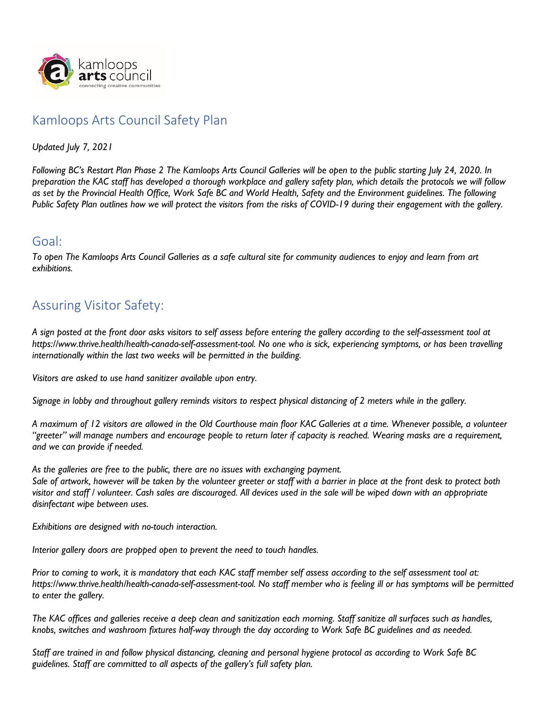

## Kamloops Arts Council Safety Plan

*Updated July 7, 2021*

*Following BC's Restart Plan Phase 2 The Kamloops Arts Council Galleries will be open to the public starting July 24, 2020. In preparation the KAC staff has developed a thorough workplace and gallery safety plan, which details the protocols we will follow as set by the Provincial Health Office, Work Safe BC and World Health, Safety and the Environment guidelines. The following Public Safety Plan outlines how we will protect the visitors from the risks of COVID-19 during their engagement with the gallery.* 

## Goal:

*To open The Kamloops Arts Council Galleries as a safe cultural site for community audiences to enjoy and learn from art exhibitions.*

## Assuring Visitor Safety:

*A sign posted at the front door asks visitors to self assess before entering the gallery according to the self-assessment tool at https://www.thrive.health/health-canada-self-assessment-tool. No one who is sick, experiencing symptoms, or has been travelling internationally within the last two weeks will be permitted in the building.*

*Visitors are asked to use hand sanitizer available upon entry.*

*Signage in lobby and throughout gallery reminds visitors to respect physical distancing of 2 meters while in the gallery.*

*A maximum of 12 visitors are allowed in the Old Courthouse main floor KAC Galleries at a time. Whenever possible, a volunteer "greeter" will manage numbers and encourage people to return later if capacity is reached. Wearing masks are a requirement, and we can provide if needed.*

*As the galleries are free to the public, there are no issues with exchanging payment.* 

*Sale of artwork, however will be taken by the volunteer greeter or staff with a barrier in place at the front desk to protect both visitor and staff / volunteer. Cash sales are discouraged. All devices used in the sale will be wiped down with an appropriate disinfectant wipe between uses.*

*Exhibitions are designed with no-touch interaction.*

*Interior gallery doors are propped open to prevent the need to touch handles.*

*Prior to coming to work, it is mandatory that each KAC staff member self assess according to the self assessment tool at: https://www.thrive.health/health-canada-self-assessment-tool. No staff member who is feeling ill or has symptoms will be permitted to enter the gallery.*

*The KAC offices and galleries receive a deep clean and sanitization each morning. Staff sanitize all surfaces such as handles, knobs, switches and washroom fixtures half-way through the day according to [Work Safe BC guidelines](https://www.worksafebc.com/en/resources/health-safety/information-sheets/covid-19-health-safety-cleaning-disinfecting?lang=en) and as needed.*

*Staff are trained in and follow physical distancing, cleaning and personal hygiene protocol as according to [Work Safe BC](https://www.worksafebc.com/en/resources/health-safety/posters/help-prevent-spread-covid-19-handwashing?lang=en)  [guidelines.](https://www.worksafebc.com/en/resources/health-safety/posters/help-prevent-spread-covid-19-handwashing?lang=en) Staff are committed to all aspects of the gallery's full safety plan.*